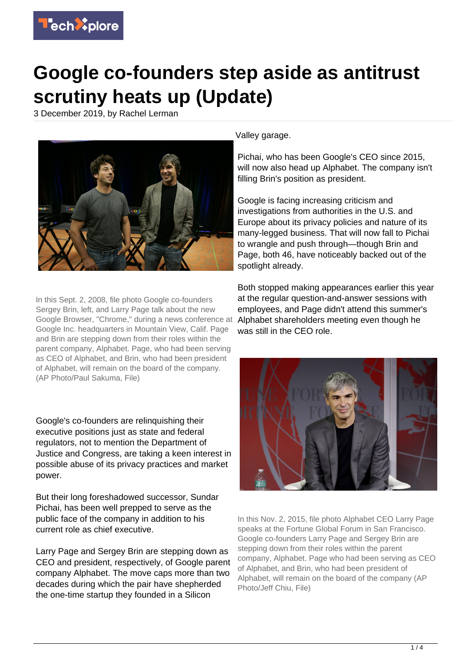

## **Google co-founders step aside as antitrust scrutiny heats up (Update)**

3 December 2019, by Rachel Lerman



In this Sept. 2, 2008, file photo Google co-founders Sergey Brin, left, and Larry Page talk about the new Google Browser, "Chrome," during a news conference at Google Inc. headquarters in Mountain View, Calif. Page and Brin are stepping down from their roles within the parent company, Alphabet. Page, who had been serving as CEO of Alphabet, and Brin, who had been president of Alphabet, will remain on the board of the company. (AP Photo/Paul Sakuma, File)

Google's co-founders are relinquishing their executive positions just as state and federal regulators, not to mention the Department of Justice and Congress, are taking a keen interest in possible abuse of its privacy practices and market power.

But their long foreshadowed successor, Sundar Pichai, has been well prepped to serve as the public face of the company in addition to his current role as chief executive.

Larry Page and Sergey Brin are stepping down as CEO and president, respectively, of Google parent company Alphabet. The move caps more than two decades during which the pair have shepherded the one-time startup they founded in a Silicon

Valley garage.

Pichai, who has been Google's CEO since 2015, will now also head up Alphabet. The company isn't filling Brin's position as president.

Google is facing increasing criticism and investigations from authorities in the U.S. and Europe about its privacy policies and nature of its many-legged business. That will now fall to Pichai to wrangle and push through—though Brin and Page, both 46, have noticeably backed out of the spotlight already.

Both stopped making appearances earlier this year at the regular question-and-answer sessions with employees, and Page didn't attend this summer's Alphabet shareholders meeting even though he was still in the CEO role.



In this Nov. 2, 2015, file photo Alphabet CEO Larry Page speaks at the Fortune Global Forum in San Francisco. Google co-founders Larry Page and Sergey Brin are stepping down from their roles within the parent company, Alphabet. Page who had been serving as CEO of Alphabet, and Brin, who had been president of Alphabet, will remain on the board of the company (AP Photo/Jeff Chiu, File)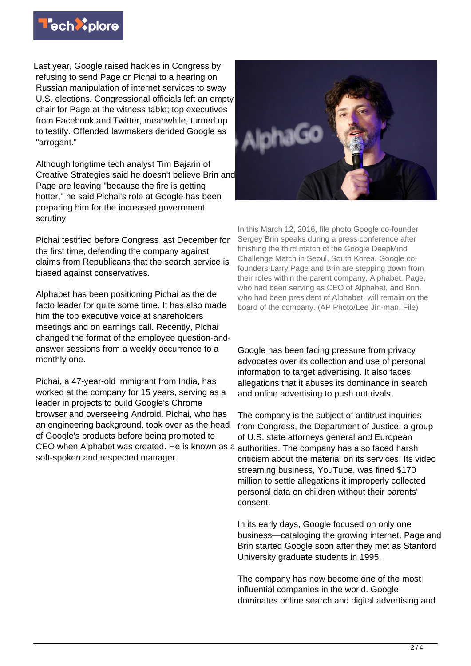

Last year, Google raised hackles in Congress by refusing to send Page or Pichai to a hearing on Russian manipulation of internet services to sway U.S. elections. Congressional officials left an empty chair for Page at the witness table; top executives from Facebook and Twitter, meanwhile, turned up to testify. Offended lawmakers derided Google as "arrogant."

Although longtime tech analyst Tim Bajarin of Creative Strategies said he doesn't believe Brin and Page are leaving "because the fire is getting hotter," he said Pichai's role at Google has been preparing him for the increased government scrutiny.



Pichai testified before Congress last December for the first time, defending the company against claims from Republicans that the search service is biased against conservatives.

Alphabet has been positioning Pichai as the de facto leader for quite some time. It has also made him the top executive voice at shareholders meetings and on earnings call. Recently, Pichai changed the format of the employee question-andanswer sessions from a weekly occurrence to a monthly one.

Pichai, a 47-year-old immigrant from India, has worked at the company for 15 years, serving as a leader in projects to build Google's Chrome browser and overseeing Android. Pichai, who has an engineering background, took over as the head of Google's products before being promoted to CEO when Alphabet was created. He is known as a authorities. The company has also faced harsh soft-spoken and respected manager.

In this March 12, 2016, file photo Google co-founder Sergey Brin speaks during a press conference after finishing the third match of the Google DeepMind Challenge Match in Seoul, South Korea. Google cofounders Larry Page and Brin are stepping down from their roles within the parent company, Alphabet. Page, who had been serving as CEO of Alphabet, and Brin, who had been president of Alphabet, will remain on the board of the company. (AP Photo/Lee Jin-man, File)

Google has been facing pressure from privacy advocates over its collection and use of personal information to target advertising. It also faces allegations that it abuses its dominance in search and online advertising to push out rivals.

The company is the subject of antitrust inquiries from Congress, the Department of Justice, a group of U.S. state attorneys general and European criticism about the material on its services. Its video streaming business, YouTube, was fined \$170 million to settle allegations it improperly collected personal data on children without their parents' consent.

In its early days, Google focused on only one business—cataloging the growing internet. Page and Brin started Google soon after they met as Stanford University graduate students in 1995.

The company has now become one of the most influential companies in the world. Google dominates online search and digital advertising and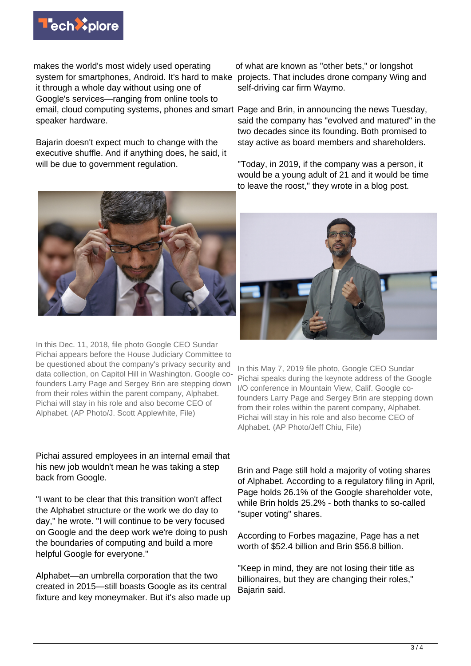

makes the world's most widely used operating system for smartphones, Android. It's hard to make projects. That includes drone company Wing and it through a whole day without using one of Google's services—ranging from online tools to email, cloud computing systems, phones and smart Page and Brin, in announcing the news Tuesday, speaker hardware.

Bajarin doesn't expect much to change with the executive shuffle. And if anything does, he said, it will be due to government regulation.

of what are known as "other bets," or longshot self-driving car firm Waymo.

said the company has "evolved and matured" in the two decades since its founding. Both promised to stay active as board members and shareholders.

"Today, in 2019, if the company was a person, it would be a young adult of 21 and it would be time to leave the roost," they wrote in a blog post.



In this Dec. 11, 2018, file photo Google CEO Sundar Pichai appears before the House Judiciary Committee to be questioned about the company's privacy security and data collection, on Capitol Hill in Washington. Google cofounders Larry Page and Sergey Brin are stepping down from their roles within the parent company, Alphabet. Pichai will stay in his role and also become CEO of Alphabet. (AP Photo/J. Scott Applewhite, File)

Pichai assured employees in an internal email that his new job wouldn't mean he was taking a step back from Google.

"I want to be clear that this transition won't affect the Alphabet structure or the work we do day to day," he wrote. "I will continue to be very focused on Google and the deep work we're doing to push the boundaries of computing and build a more helpful Google for everyone."

Alphabet—an umbrella corporation that the two created in 2015—still boasts Google as its central fixture and key moneymaker. But it's also made up



In this May 7, 2019 file photo, Google CEO Sundar Pichai speaks during the keynote address of the Google I/O conference in Mountain View, Calif. Google cofounders Larry Page and Sergey Brin are stepping down from their roles within the parent company, Alphabet. Pichai will stay in his role and also become CEO of Alphabet. (AP Photo/Jeff Chiu, File)

Brin and Page still hold a majority of voting shares of Alphabet. According to a regulatory filing in April, Page holds 26.1% of the Google shareholder vote, while Brin holds 25.2% - both thanks to so-called "super voting" shares.

According to Forbes magazine, Page has a net worth of \$52.4 billion and Brin \$56.8 billion.

"Keep in mind, they are not losing their title as billionaires, but they are changing their roles," Bajarin said.